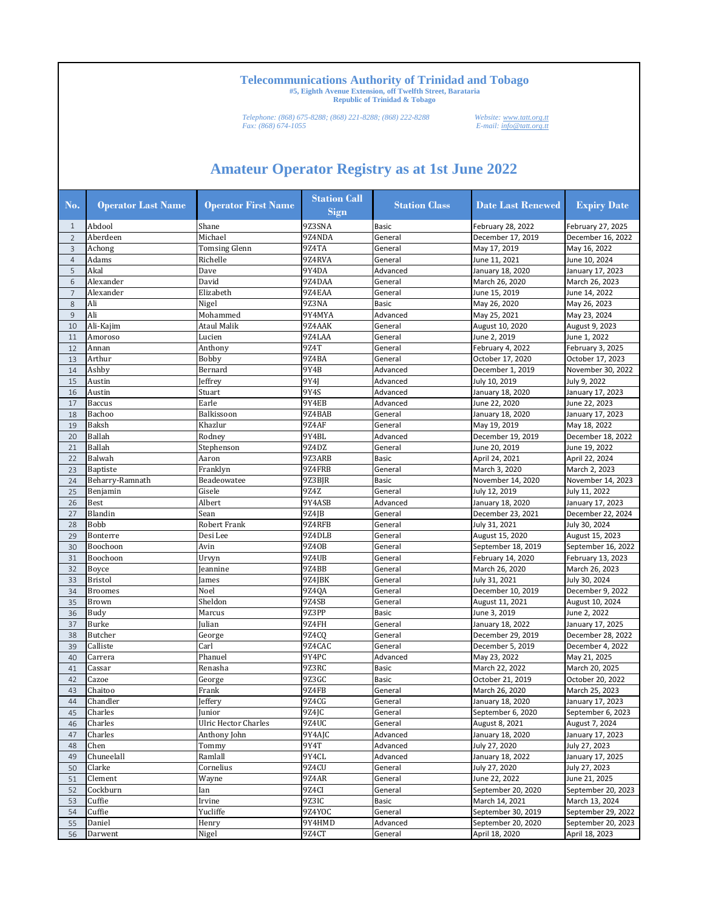*Telephone: (868) 675-8288; (868) 221-8288; (868) 222-8288 Website: www.tatt.org.tt Fax: (868) 674-1055 E-mail: info@tatt.org.tt*

| No.            | <b>Operator Last Name</b> | <b>Operator First Name</b>  | <b>Station Call</b><br>Sign | <b>Station Class</b> | <b>Date Last Renewed</b> | <b>Expiry Date</b> |
|----------------|---------------------------|-----------------------------|-----------------------------|----------------------|--------------------------|--------------------|
| $\mathbf{1}$   | Abdool                    | Shane                       | 9Z3SNA                      | <b>Basic</b>         | February 28, 2022        | February 27, 2025  |
| $\overline{2}$ | Aberdeen                  | Michael                     | 9Z4NDA                      | General              | December 17, 2019        | December 16, 2022  |
| 3              | Achong                    | <b>Tomsing Glenn</b>        | 9Z4TA                       | General              | May 17, 2019             | May 16, 2022       |
| $\overline{4}$ | Adams                     | Richelle                    | 9Z4RVA                      | General              | June 11, 2021            | June 10, 2024      |
| 5              | Akal                      | Dave                        | 9Y4DA                       | Advanced             | January 18, 2020         | January 17, 2023   |
| 6              | Alexander                 | David                       | 9Z4DAA                      | General              | March 26, 2020           | March 26, 2023     |
| $\overline{7}$ | Alexander                 | Elizabeth                   | 9Z4EAA                      | General              | June 15, 2019            | June 14, 2022      |
| $\,$ 8 $\,$    | Ali                       | Nigel                       | 9Z3NA                       | <b>Basic</b>         | May 26, 2020             | May 26, 2023       |
| $\overline{9}$ | Ali                       | Mohammed                    | 9Y4MYA                      | Advanced             | May 25, 2021             | May 23, 2024       |
| 10             | Ali-Kajim                 | Ataul Malik                 | 9Z4AAK                      | General              | August 10, 2020          | August 9, 2023     |
| 11             | Amoroso                   | Lucien                      | 9Z4LAA                      | General              | June 2, 2019             | June 1, 2022       |
| 12             | Annan                     | Anthony                     | 9Z4T                        | General              | February 4, 2022         | February 3, 2025   |
| 13             | Arthur                    | Bobby                       | 9Z4BA                       | General              | October 17, 2020         | October 17, 2023   |
| 14             | Ashby                     | Bernard                     | 9Y4B                        | Advanced             | December 1, 2019         | November 30, 2022  |
| 15             | Austin                    | Jeffrey                     | 9Y4J                        | Advanced             | July 10, 2019            | July 9, 2022       |
| 16             | Austin                    | Stuart                      | 9Y4S                        | Advanced             | January 18, 2020         | January 17, 2023   |
| 17             | <b>Baccus</b>             | Earle                       | 9Y4EB                       | Advanced             | June 22, 2020            | June 22, 2023      |
| 18             | Bachoo                    | Balkissoon                  | 9Z4BAB                      | General              | January 18, 2020         | January 17, 2023   |
| 19             | Baksh                     | Khazlur                     | 9Z4AF                       | General              | May 19, 2019             | May 18, 2022       |
| 20             | Ballah                    | Rodney                      | 9Y4BL                       | Advanced             | December 19, 2019        | December 18, 2022  |
| 21             | Ballah                    | Stephenson                  | 9Z4DZ                       | General              | June 20, 2019            | June 19, 2022      |
| 22             | Balwah                    | Aaron                       | 9Z3ARB                      | <b>Basic</b>         | April 24, 2021           | April 22, 2024     |
| 23             | <b>Baptiste</b>           | Franklyn                    | 9Z4FRB                      | General              | March 3, 2020            | March 2, 2023      |
| 24             | Beharry-Ramnath           | Beadeowatee                 | 9Z3BJR                      | <b>Basic</b>         | November 14, 2020        | November 14, 2023  |
| 25             | Benjamin                  | Gisele                      | 9Z4Z                        | General              | July 12, 2019            | July 11, 2022      |
| 26             | Best                      | Albert                      | 9Y4ASB                      | Advanced             | January 18, 2020         | January 17, 2023   |
| 27             | Blandin                   | Sean                        | 9Z4JB                       | General              | December 23, 2021        | December 22, 2024  |
| 28             | <b>Bobb</b>               | Robert Frank                | 9Z4RFB                      | General              | July 31, 2021            | July 30, 2024      |
| 29             | Bonterre                  | Desi Lee                    | 9Z4DLB                      | General              | August 15, 2020          | August 15, 2023    |
| 30             | Boochoon                  | Avin                        | 9Z40B                       | General              | September 18, 2019       | September 16, 2022 |
| 31             | Boochoon                  | Urvyn                       | 9Z4UB                       | General              | February 14, 2020        | February 13, 2023  |
| 32             | Boyce                     | Jeannine                    | 9Z4BB                       | General              | March 26, 2020           | March 26, 2023     |
| 33             | <b>Bristol</b>            | James                       | 9Z4JBK                      | General              | July 31, 2021            | July 30, 2024      |
| 34             | <b>Broomes</b>            | Noel                        | 9Z4QA                       | General              | December 10, 2019        | December 9, 2022   |
| 35             | Brown                     | Sheldon                     | 9Z4SB                       | General              | August 11, 2021          | August 10, 2024    |
| 36             | Budy                      | Marcus                      | 9Z3PP                       | <b>Basic</b>         | June 3, 2019             | June 2, 2022       |
| 37             | <b>Burke</b>              | Julian                      | 9Z4FH                       | General              | January 18, 2022         | January 17, 2025   |
| 38             | Butcher                   | George                      | 9Z4CQ                       | General              | December 29, 2019        | December 28, 2022  |
| 39             | Calliste                  | Carl                        | 9Z4CAC                      | General              | December 5, 2019         | December 4, 2022   |
| 40             | Carrera                   | Phanuel                     | 9Y4PC                       | Advanced             | May 23, 2022             | May 21, 2025       |
| 41             | Cassar                    | Renasha                     | 9Z3RC                       | <b>Basic</b>         | March 22, 2022           | March 20, 2025     |
| 42             | Cazoe                     | George                      | 9Z3GC                       | <b>Basic</b>         | October 21, 2019         | October 20, 2022   |
| 43             | Chaitoo                   | Frank                       | 9Z4FB                       | General              | March 26, 2020           | March 25, 2023     |
| 44             | Chandler                  | Jeffery                     | 9Z4CG                       | General              | January 18, 2020         | January 17, 2023   |
| 45             | Charles                   | Junior                      | 9Z4JC                       | General              | September 6, 2020        | September 6, 2023  |
| 46             | Charles                   | <b>Ulric Hector Charles</b> | 9Z4UC                       | General              | August 8, 2021           | August 7, 2024     |
| 47             | Charles                   | Anthony John                | 9Y4AJC                      | Advanced             | January 18, 2020         | January 17, 2023   |
| 48             | Chen                      | Tommy                       | 9Y4T                        | Advanced             | July 27, 2020            | July 27, 2023      |
| 49             | Chuneelall                | Ramlall                     | 9Y4CL                       | Advanced             | January 18, 2022         | January 17, 2025   |
| 50             | Clarke                    | Cornelius                   | 9Z4CU                       | General              | July 27, 2020            | July 27, 2023      |
| 51             | Clement                   | Wayne                       | 9Z4AR                       | General              | June 22, 2022            | June 21, 2025      |
| 52             | Cockburn                  | lan                         | 9Z4CI                       | General              | September 20, 2020       | September 20, 2023 |
| 53             | Cuffie                    | Irvine                      | 9Z3IC                       | Basic                | March 14, 2021           | March 13, 2024     |
| 54             | Cuffie                    | Yucliffe                    | 9Z4YOC                      | General              | September 30, 2019       | September 29, 2022 |
| 55             | Daniel                    | Henry                       | 9Y4HMD                      | Advanced             | September 20, 2020       | September 20, 2023 |
| 56             | Darwent                   | Nigel                       | 9Z4CT                       | General              | April 18, 2020           | April 18, 2023     |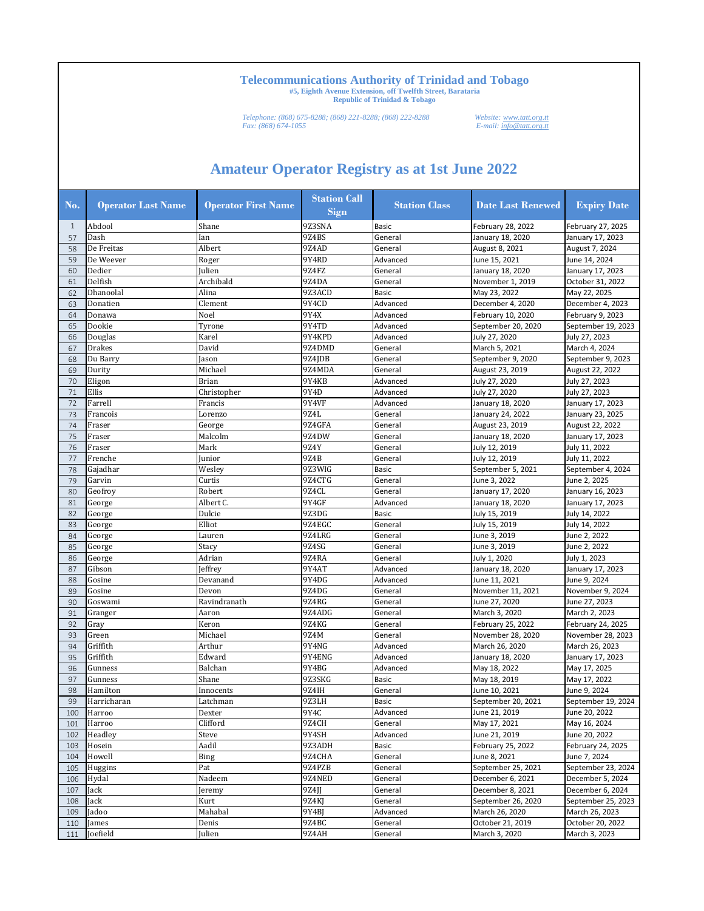*Telephone: (868) 675-8288; (868) 221-8288; (868) 222-8288 Website: www.tatt.org.tt Fax: (868) 674-1055 E-mail: info@tatt.org.tt*

| No. | <b>Operator Last Name</b> | <b>Operator First Name</b> | <b>Station Call</b><br>Sign | <b>Station Class</b> | <b>Date Last Renewed</b> | <b>Expiry Date</b> |
|-----|---------------------------|----------------------------|-----------------------------|----------------------|--------------------------|--------------------|
| -1  | Abdool                    | Shane                      | 9Z3SNA                      | <b>Basic</b>         | February 28, 2022        | February 27, 2025  |
| 57  | Dash                      | Ian                        | 9Z4BS                       | General              | January 18, 2020         | January 17, 2023   |
| 58  | De Freitas                | Albert                     | 9Z4AD                       | General              | August 8, 2021           | August 7, 2024     |
| 59  | De Weever                 | Roger                      | 9Y4RD                       | Advanced             | June 15, 2021            | June 14, 2024      |
| 60  | Dedier                    | Julien                     | 9Z4FZ                       | General              | January 18, 2020         | January 17, 2023   |
| 61  | Delfish                   | Archibald                  | 9Z4DA                       | General              | November 1, 2019         | October 31, 2022   |
| 62  | Dhanoolal                 | Alina                      | 9Z3ACD                      | <b>Basic</b>         | May 23, 2022             | May 22, 2025       |
| 63  | Donatien                  | Clement                    | 9Y4CD                       | Advanced             | December 4, 2020         | December 4, 2023   |
| 64  | Donawa                    | Noel                       | 9Y4X                        | Advanced             | February 10, 2020        | February 9, 2023   |
| 65  | Dookie                    | Tyrone                     | 9Y4TD                       | Advanced             | September 20, 2020       | September 19, 2023 |
| 66  | Douglas                   | Karel                      | 9Y4KPD                      | Advanced             | July 27, 2020            | July 27, 2023      |
| 67  | Drakes                    | David                      | 9Z4DMD                      | General              | March 5, 2021            | March 4, 2024      |
| 68  | Du Barry                  | Jason                      | 9Z4JDB                      | General              | September 9, 2020        | September 9, 2023  |
| 69  | Durity                    | Michael                    | 9Z4MDA                      | General              | August 23, 2019          | August 22, 2022    |
| 70  | Eligon                    | <b>Brian</b>               | 9Y4KB                       | Advanced             | July 27, 2020            | July 27, 2023      |
| 71  | Ellis                     | Christopher                | 9Y4D                        | Advanced             | July 27, 2020            | July 27, 2023      |
| 72  | Farrell                   | Francis                    | 9Y4VF                       | Advanced             | January 18, 2020         | January 17, 2023   |
| 73  | Francois                  | Lorenzo                    | 9Z4L                        | General              | January 24, 2022         | January 23, 2025   |
| 74  | Fraser                    | George                     | 9Z4GFA                      | General              | August 23, 2019          | August 22, 2022    |
| 75  | Fraser                    | Malcolm                    | 9Z4DW                       | General              | January 18, 2020         | January 17, 2023   |
| 76  | Fraser                    | Mark                       | 9Z4Y                        | General              | July 12, 2019            | July 11, 2022      |
| 77  | Frenche                   | Junior                     | 9Z4B                        | General              | July 12, 2019            | July 11, 2022      |
| 78  | Gajadhar                  | Wesley                     | 9Z3WIG                      | <b>Basic</b>         | September 5, 2021        | September 4, 2024  |
| 79  | Garvin                    | Curtis                     | 9Z4CTG                      | General              | June 3, 2022             | June 2, 2025       |
| 80  | Geofroy                   | Robert                     | 9Z4CL                       | General              | January 17, 2020         | January 16, 2023   |
| 81  | George                    | Albert C.                  | 9Y4GF                       | Advanced             | January 18, 2020         | January 17, 2023   |
| 82  | George                    | Dulcie                     | 9Z3DG                       | <b>Basic</b>         | July 15, 2019            | July 14, 2022      |
| 83  | George                    | Elliot                     | 9Z4EGC                      | General              | July 15, 2019            | July 14, 2022      |
| 84  | George                    | Lauren                     | 9Z4LRG                      | General              | June 3, 2019             | June 2, 2022       |
| 85  | George                    | Stacy                      | 9Z4SG                       | General              | June 3, 2019             | June 2, 2022       |
| 86  | George                    | Adrian                     | 9Z4RA                       | General              | July 1, 2020             | July 1, 2023       |
| 87  | Gibson                    | Jeffrey                    | 9Y4AT                       | Advanced             | January 18, 2020         | January 17, 2023   |
| 88  | Gosine                    | Devanand                   | 9Y4DG                       | Advanced             | June 11, 2021            | June 9, 2024       |
| 89  | Gosine                    | Devon                      | 9Z4DG                       | General              | November 11, 2021        | November 9, 2024   |
| 90  | Goswami                   | Ravindranath               | 9Z4RG                       | General              | June 27, 2020            | June 27, 2023      |
| 91  | Granger                   | Aaron                      | 9Z4ADG                      | General              | March 3, 2020            | March 2, 2023      |
| 92  | Gray                      | Keron                      | 9Z4KG                       | General              | February 25, 2022        | February 24, 2025  |
| 93  | Green                     | Michael                    | 9Z4M                        | General              | November 28, 2020        | November 28, 2023  |
| 94  | Griffith                  | Arthur                     | 9Y4NG                       | Advanced             | March 26, 2020           | March 26, 2023     |
| 95  | Griffith                  | Edward                     | 9Y4ENG                      | Advanced             | January 18, 2020         | January 17, 2023   |
| 96  | Gunness                   | Balchan                    | 9Y4BG                       | Advanced             | May 18, 2022             | May 17, 2025       |
| 97  | Gunness                   | Shane                      | 9Z3SKG                      | <b>Basic</b>         | May 18, 2019             | May 17, 2022       |
| 98  | Hamilton                  | Innocents                  | 9Z4IH                       | General              | June 10, 2021            | June 9, 2024       |
| 99  | Harricharan               | Latchman                   | 9Z3LH                       | <b>Basic</b>         | September 20, 2021       | September 19, 2024 |
| 100 | Harroo                    | Dexter                     | 9Y4C                        | Advanced             | June 21, 2019            | June 20, 2022      |
| 101 | Harroo                    | Clifford                   | 9Z4CH                       | General              | May 17, 2021             | May 16, 2024       |
| 102 | Headley                   | Steve                      | 9Y4SH                       | Advanced             | June 21, 2019            | June 20, 2022      |
| 103 | Hosein                    | Aadil                      | 9Z3ADH                      | Basic                | February 25, 2022        | February 24, 2025  |
| 104 | Howell                    | Bing                       | 9Z4CHA                      | General              | June 8, 2021             | June 7, 2024       |
| 105 | Huggins                   | Pat                        | 9Z4PZB                      | General              | September 25, 2021       | September 23, 2024 |
| 106 | Hydal                     | Nadeem                     | 9Z4NED                      | General              | December 6, 2021         | December 5, 2024   |
| 107 | Jack                      | Jeremy                     | 9Z4JJ                       | General              | December 8, 2021         | December 6, 2024   |
| 108 | Jack                      | Kurt                       | 9Z4KJ                       | General              | September 26, 2020       | September 25, 2023 |
| 109 | Jadoo                     | Mahabal                    | 9Y4BJ                       | Advanced             | March 26, 2020           | March 26, 2023     |
| 110 | James                     | Denis                      | 9Z4BC                       | General              | October 21, 2019         | October 20, 2022   |
| 111 | Joefield                  | Julien                     | 9Z4AH                       | General              | March 3, 2020            | March 3, 2023      |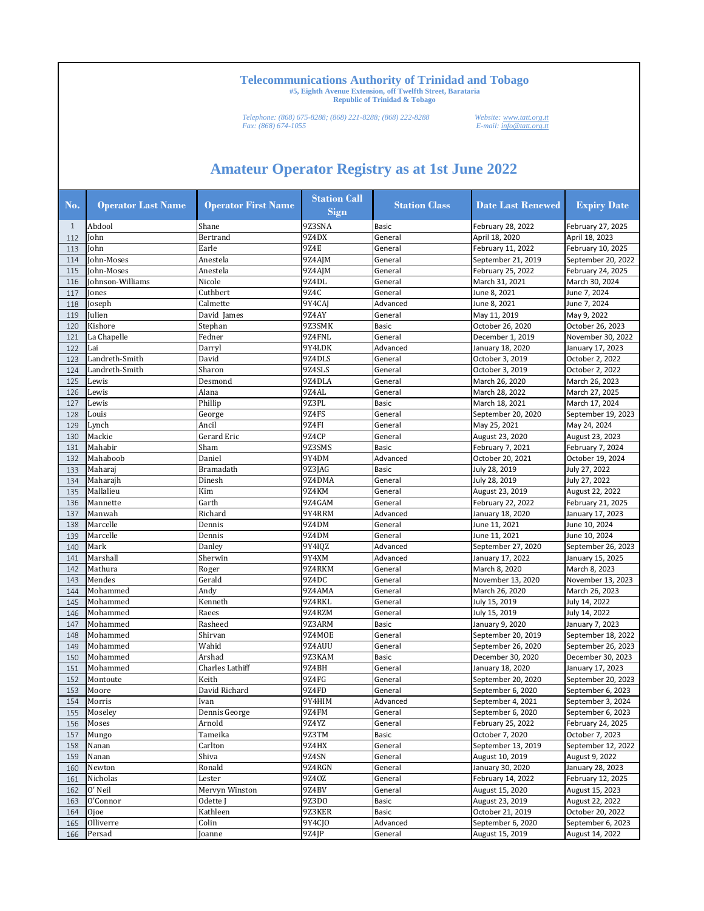*Telephone: (868) 675-8288; (868) 221-8288; (868) 222-8288 Website: www.tatt.org.tt Fax: (868) 674-1055 E-mail: info@tatt.org.tt*

| No. | <b>Operator Last Name</b> | <b>Operator First Name</b> | <b>Station Call</b><br><b>Sign</b> | <b>Station Class</b> | <b>Date Last Renewed</b>              | <b>Expiry Date</b>                  |
|-----|---------------------------|----------------------------|------------------------------------|----------------------|---------------------------------------|-------------------------------------|
| 1   | Abdool                    | Shane                      | 9Z3SNA                             | <b>Basic</b>         | February 28, 2022                     | February 27, 2025                   |
| 112 | John                      | Bertrand                   | 9Z4DX                              | General              | April 18, 2020                        | April 18, 2023                      |
| 113 | John                      | Earle                      | 9Z4E                               | General              | February 11, 2022                     | February 10, 2025                   |
| 114 | John-Moses                | Anestela                   | 9Z4AJM                             | General              | September 21, 2019                    | September 20, 2022                  |
| 115 | John-Moses                | Anestela                   | 9Z4AJM                             | General              | February 25, 2022                     | February 24, 2025                   |
| 116 | Johnson-Williams          | Nicole                     | 9Z4DL                              | General              | March 31, 2021                        | March 30, 2024                      |
| 117 | Jones                     | Cuthbert                   | 9Z4C                               | General              | June 8, 2021                          | June 7, 2024                        |
| 118 | Joseph                    | Calmette                   | 9Y4CAJ                             | Advanced             | June 8, 2021                          | June 7, 2024                        |
| 119 | Julien                    | David James                | 9Z4AY                              | General              | May 11, 2019                          | May 9, 2022                         |
| 120 | Kishore                   | Stephan                    | 9Z3SMK                             | <b>Basic</b>         | October 26, 2020                      | October 26, 2023                    |
| 121 | La Chapelle               | Fedner                     | 9Z4FNL                             | General              | December 1, 2019                      | November 30, 2022                   |
| 122 | Lai                       | Darryl                     | 9Y4LDK                             | Advanced             | January 18, 2020                      | January 17, 2023                    |
| 123 | Landreth-Smith            | David                      | 9Z4DLS                             | General              | October 3, 2019                       | October 2, 2022                     |
| 124 | Landreth-Smith            | Sharon                     | 9Z4SLS                             | General              | October 3, 2019                       | October 2, 2022                     |
| 125 | Lewis                     | Desmond                    | 9Z4DLA                             | General              | March 26, 2020                        | March 26, 2023                      |
| 126 | Lewis                     | Alana                      | 9Z4AL                              | General              | March 28, 2022                        | March 27, 2025                      |
| 127 | Lewis                     | Phillip                    | 9Z3PL                              | <b>Basic</b>         | March 18, 2021                        | March 17, 2024                      |
| 128 | Louis                     | George                     | 9Z4FS                              | General              | September 20, 2020                    | September 19, 2023                  |
| 129 | Lynch                     | Ancil                      | 9Z4FI                              | General              | May 25, 2021                          | May 24, 2024                        |
| 130 | Mackie                    | Gerard Eric                | 9Z4CP                              | General              | August 23, 2020                       | August 23, 2023                     |
| 131 | Mahabir                   | Sham                       | 9Z3SMS                             | <b>Basic</b>         | February 7, 2021                      | February 7, 2024                    |
| 132 | Mahaboob                  | Daniel                     | 9Y4DM                              | Advanced             | October 20, 2021                      | October 19, 2024                    |
| 133 | Maharai                   | Bramadath                  | 9Z3JAG                             | <b>Basic</b>         | July 28, 2019                         | July 27, 2022                       |
| 134 | Maharajh                  | Dinesh                     | 9Z4DMA                             | General              | July 28, 2019                         | July 27, 2022                       |
| 135 | Mallalieu                 | Kim                        | 9Z4KM                              | General              | August 23, 2019                       | August 22, 2022                     |
| 136 | Mannette                  | Garth                      | 9Z4GAM                             | General              | February 22, 2022                     | February 21, 2025                   |
| 137 | Manwah                    | Richard                    | 9Y4RRM                             | Advanced             | January 18, 2020                      | January 17, 2023                    |
| 138 | Marcelle                  | Dennis                     | 9Z4DM                              | General              | June 11, 2021                         | June 10, 2024                       |
| 139 | Marcelle                  | Dennis                     | 9Z4DM                              | General              | June 11, 2021                         | June 10, 2024                       |
| 140 | Mark                      | Danley                     | 9Y4IQZ                             | Advanced             | September 27, 2020                    | September 26, 2023                  |
| 141 | Marshall                  | Sherwin                    | 9Y4XM                              | Advanced             | January 17, 2022                      | January 15, 2025                    |
| 142 | Mathura                   | Roger                      | 9Z4RKM                             | General              | March 8, 2020                         | March 8, 2023                       |
| 143 | Mendes                    | Gerald                     | 9Z4DC                              | General              | November 13, 2020                     | November 13, 2023                   |
| 144 | Mohammed                  | Andy                       | 9Z4AMA                             | General              | March 26, 2020                        | March 26, 2023                      |
| 145 | Mohammed                  | Kenneth                    | 9Z4RKL                             | General              | July 15, 2019                         | July 14, 2022                       |
| 146 | Mohammed                  | Raees                      | 9Z4RZM                             | General              | July 15, 2019                         | July 14, 2022                       |
| 147 | Mohammed                  | Rasheed                    | 9Z3ARM                             | <b>Basic</b>         | January 9, 2020                       | January 7, 2023                     |
| 148 | Mohammed                  | Shirvan                    | 9Z4MOE                             | General              | September 20, 2019                    | September 18, 2022                  |
| 149 | Mohammed                  | Wahid                      | 9Z4AUU                             | General              | September 26, 2020                    | September 26, 2023                  |
| 150 | Mohammed                  | Arshad                     | 9Z3KAM                             | <b>Basic</b>         | December 30, 2020                     | December 30, 2023                   |
| 151 | Mohammed                  | Charles Lathiff            | 9Z4BH                              | General              | January 18, 2020                      | January 17, 2023                    |
| 152 | Montoute                  | Keith                      | 9Z4FG                              | General              | September 20, 2020                    | September 20, 2023                  |
| 153 | Moore                     | David Richard              | 9Z4FD                              | General              | September 6, 2020                     | September 6, 2023                   |
| 154 | Morris                    | Ivan                       | 9Y4HIM                             | Advanced             | September 4, 2021                     | September 3, 2024                   |
| 155 | Moseley                   | Dennis George              | 9Z4FM                              | General              | September 6, 2020                     | September 6, 2023                   |
| 156 | Moses                     | Arnold                     | 9Z4YZ                              | General              | February 25, 2022                     | February 24, 2025                   |
| 157 | Mungo                     | Tameika                    | 9Z3TM                              | Basic                | October 7, 2020                       | October 7, 2023                     |
| 158 | Nanan                     | Carlton                    | 9Z4HX                              | General              | September 13, 2019                    | September 12, 2022                  |
| 159 | Nanan                     | Shiva                      | 9Z4SN                              | General              | August 10, 2019                       | August 9, 2022                      |
| 160 | Newton                    | Ronald                     | 9Z4RGN                             | General              | January 30, 2020                      | January 28, 2023                    |
| 161 | Nicholas                  | Lester                     | 9Z40Z                              | General              | February 14, 2022                     | February 12, 2025                   |
| 162 | O' Neil                   | Mervyn Winston             | 9Z4BV                              | General              | August 15, 2020                       | August 15, 2023                     |
|     |                           |                            | 9Z3DO                              |                      |                                       |                                     |
| 163 | O'Connor                  | Odette J                   |                                    | Basic                | August 23, 2019                       | August 22, 2022<br>October 20, 2022 |
| 164 | Ojoe<br>Olliverre         | Kathleen<br>Colin          | 9Z3KER<br>9Y4CJ0                   | Basic<br>Advanced    | October 21, 2019<br>September 6, 2020 |                                     |
| 165 |                           |                            |                                    |                      |                                       | September 6, 2023                   |
| 166 | Persad                    | Joanne                     | 9Z4JP                              | General              | August 15, 2019                       | August 14, 2022                     |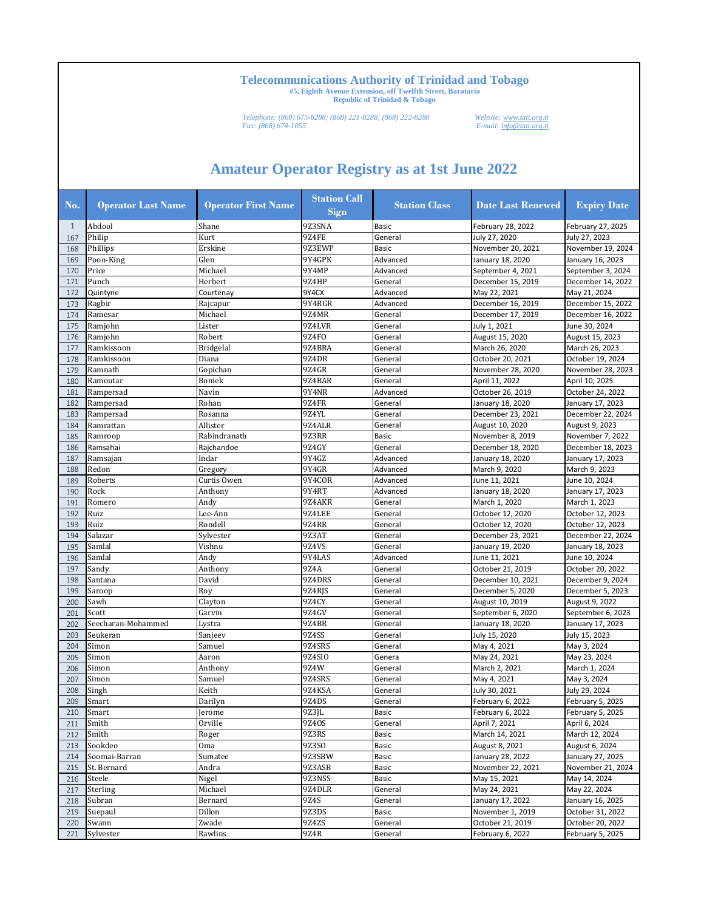*Telephone: (868) 675-8288; (868) 221-8288; (868) 222-8288 Website: www.tatt.org.tt Fax: (868) 674-1055 E-mail: info@tatt.org.tt*

| No. | <b>Operator Last Name</b> | <b>Operator First Name</b> | <b>Station Call</b><br><b>Sign</b> | <b>Station Class</b> | <b>Date Last Renewed</b> | <b>Expiry Date</b> |
|-----|---------------------------|----------------------------|------------------------------------|----------------------|--------------------------|--------------------|
| 1   | Abdool                    | Shane                      | 9Z3SNA                             | <b>Basic</b>         | February 28, 2022        | February 27, 2025  |
| 167 | Philip                    | Kurt                       | <b>9Z4FE</b>                       | General              | July 27, 2020            | July 27, 2023      |
| 168 | Phillips                  | Erskine                    | 9Z3EWP                             | <b>Basic</b>         | November 20, 2021        | November 19, 2024  |
| 169 | Poon-King                 | Glen                       | 9Y4GPK                             | Advanced             | January 18, 2020         | January 16, 2023   |
| 170 | Price                     | Michael                    | 9Y4MP                              | Advanced             | September 4, 2021        | September 3, 2024  |
| 171 | Punch                     | Herbert                    | 9Z4HP                              | General              | December 15, 2019        | December 14, 2022  |
| 172 | Quintyne                  | Courtenay                  | 9Y4CX                              | Advanced             | May 22, 2021             | May 21, 2024       |
| 173 | Ragbir                    | Rajcapur                   | 9Y4RGR                             | Advanced             | December 16, 2019        | December 15, 2022  |
| 174 | Ramesar                   | Michael                    | 9Z4MR                              | General              | December 17, 2019        | December 16, 2022  |
| 175 | Ramjohn                   | Lister                     | 9Z4LVR                             | General              | July 1, 2021             | June 30, 2024      |
| 176 | Ramjohn                   | Robert                     | 9Z4FO                              | General              | August 15, 2020          | August 15, 2023    |
| 177 | Ramkissoon                | <b>Bridgelal</b>           | 9Z4BRA                             | General              | March 26, 2020           | March 26, 2023     |
| 178 | Ramkissoon                | Diana                      | 9Z4DR                              | General              | October 20, 2021         | October 19, 2024   |
| 179 | Ramnath                   | Gopichan                   | 9Z4GR                              | General              | November 28, 2020        | November 28, 2023  |
| 180 | Ramoutar                  | Boniek                     | 9Z4BAR                             | General              | April 11, 2022           | April 10, 2025     |
| 181 | Rampersad                 | Navin                      | 9Y4NR                              | Advanced             | October 26, 2019         | October 24, 2022   |
| 182 | Rampersad                 | Rohan                      | 9Z4FR                              | General              | January 18, 2020         | January 17, 2023   |
| 183 | Rampersad                 | Rosanna                    | 9Z4YL                              | General              | December 23, 2021        | December 22, 2024  |
| 184 | Ramrattan                 | Allister                   | 9Z4ALR                             | General              | August 10, 2020          | August 9, 2023     |
| 185 | Ramroop                   | Rabindranath               | 9Z3RR                              | <b>Basic</b>         | November 8, 2019         | November 7, 2022   |
| 186 | Ramsahai                  | Rajchandoe                 | 9Z4GY                              | General              | December 18, 2020        | December 18, 2023  |
| 187 | Ramsajan                  | Indar                      | 9Y4GZ                              | Advanced             | January 18, 2020         | January 17, 2023   |
| 188 | Redon                     | Gregory                    | 9Y4GR                              | Advanced             | March 9, 2020            | March 9, 2023      |
| 189 | Roberts                   | Curtis Owen                | 9Y4COR                             | Advanced             | June 11, 2021            | June 10, 2024      |
| 190 | Rock                      | Anthony                    | 9Y4RT                              | Advanced             | January 18, 2020         | January 17, 2023   |
| 191 | Romero                    | Andy                       | 9Z4AKR                             | General              | March 1, 2020            | March 1, 2023      |
| 192 | Ruiz                      | Lee-Ann                    | 9Z4LEE                             | General              | October 12, 2020         | October 12, 2023   |
| 193 | Ruiz                      | Rondell                    | 9Z4RR                              | General              | October 12, 2020         | October 12, 2023   |
| 194 | Salazar                   | Sylvester                  | 9Z3AT                              | General              | December 23, 2021        | December 22, 2024  |
| 195 | Samlal                    | Vishnu                     | 9Z4VS                              | General              | January 19, 2020         | January 18, 2023   |
| 196 | Samlal                    | Andy                       | 9Y4LAS                             | Advanced             | June 11, 2021            | June 10, 2024      |
| 197 | Sandy                     | Anthony                    | 9Z4A                               | General              | October 21, 2019         | October 20, 2022   |
| 198 | Santana                   | David                      | 9Z4DRS                             | General              | December 10, 2021        | December 9, 2024   |
| 199 | Saroop                    | Roy                        | 9Z4RJS                             | General              | December 5, 2020         | December 5, 2023   |
| 200 | Sawh                      | Clayton                    | 9Z4CY                              | General              | August 10, 2019          | August 9, 2022     |
| 201 | Scott                     | Garvin                     | 9Z4GV                              | General              | September 6, 2020        | September 6, 2023  |
| 202 | Seecharan-Mohammed        | Lystra                     | 9Z4BR                              | General              | January 18, 2020         | January 17, 2023   |
| 203 | Seukeran                  | Sanjeev                    | 9Z4SS                              | General              | July 15, 2020            | July 15, 2023      |
| 204 | Simon                     | Samuel                     | 9Z4SRS                             | General              | May 4, 2021              | May 3, 2024        |
| 205 | Simon                     | Aaron                      | 9Z4SI0                             | Genera               | May 24, 2021             | May 23, 2024       |
| 206 | Simon                     | Anthony                    | 9Z4W                               | General              | March 2, 2021            | March 1, 2024      |
| 207 | Simon                     | Samuel                     | 9Z4SRS                             | General              | May 4, 2021              | May 3, 2024        |
| 208 | Singh                     | Keith                      | 9Z4KSA                             | General              | July 30, 2021            | July 29, 2024      |
| 209 | Smart                     | Darilyn                    | 9Z4DS                              | General              | February 6, 2022         | February 5, 2025   |
| 210 | Smart                     | Jerome                     | 9Z3JL                              | Basic                | February 6, 2022         | February 5, 2025   |
| 211 | Smith                     | Orville                    | 9Z40S                              | General              | April 7, 2021            | April 6, 2024      |
| 212 | Smith                     | Roger                      | 9Z3RS                              | <b>Basic</b>         | March 14, 2021           | March 12, 2024     |
| 213 | Sookdeo                   | 0 <sub>ma</sub>            | 9Z3SO                              | Basic                | August 8, 2021           | August 6, 2024     |
| 214 | Soomai-Barran             | Sumatee                    | 9Z3SBW                             | Basic                | January 28, 2022         | January 27, 2025   |
| 215 | St. Bernard               | Andra                      | 9Z3ASB                             | Basic                | November 22, 2021        | November 21, 2024  |
| 216 | Steele                    | Nigel                      | 9Z3NSS                             | Basic                | May 15, 2021             | May 14, 2024       |
| 217 | Sterling                  | Michael                    | 9Z4DLR                             | General              | May 24, 2021             | May 22, 2024       |
| 218 | Subran                    | Bernard                    | 9Z4S                               | General              | January 17, 2022         | January 16, 2025   |
| 219 | Suepaul                   | Dillon                     | 9Z3DS                              | Basic                | November 1, 2019         | October 31, 2022   |
| 220 | Swann                     | Zwade                      | 9Z4ZS                              | General              | October 21, 2019         | October 20, 2022   |
| 221 | Sylvester                 | Rawlins                    | 9Z4R                               | General              | February 6, 2022         | February 5, 2025   |